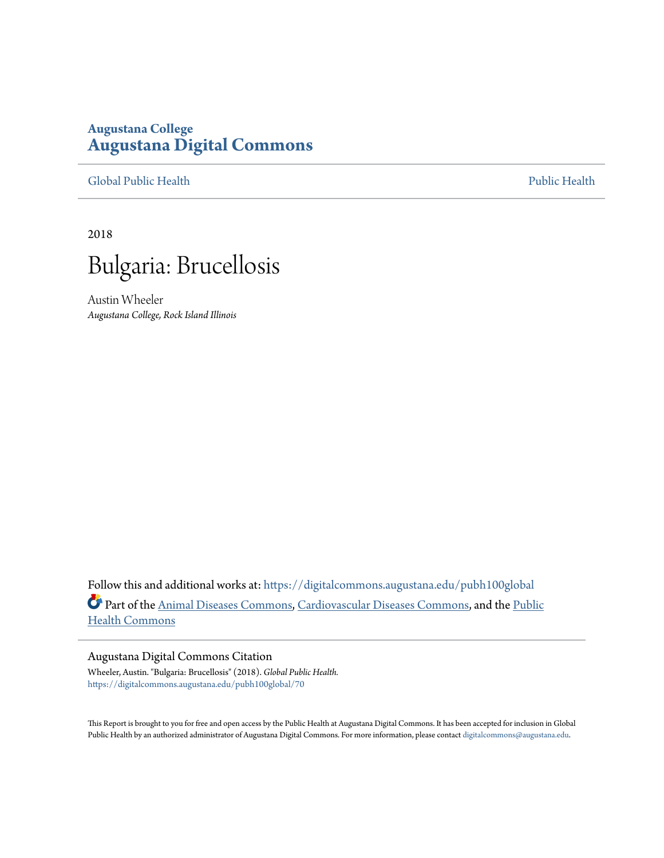## **Augustana College [Augustana Digital Commons](https://digitalcommons.augustana.edu?utm_source=digitalcommons.augustana.edu%2Fpubh100global%2F70&utm_medium=PDF&utm_campaign=PDFCoverPages)**

[Global Public Health](https://digitalcommons.augustana.edu/pubh100global?utm_source=digitalcommons.augustana.edu%2Fpubh100global%2F70&utm_medium=PDF&utm_campaign=PDFCoverPages) [Public Health](https://digitalcommons.augustana.edu/publichealth?utm_source=digitalcommons.augustana.edu%2Fpubh100global%2F70&utm_medium=PDF&utm_campaign=PDFCoverPages)

2018



Austin Wheeler *Augustana College, Rock Island Illinois*

Follow this and additional works at: [https://digitalcommons.augustana.edu/pubh100global](https://digitalcommons.augustana.edu/pubh100global?utm_source=digitalcommons.augustana.edu%2Fpubh100global%2F70&utm_medium=PDF&utm_campaign=PDFCoverPages) Part of the [Animal Diseases Commons,](http://network.bepress.com/hgg/discipline/918?utm_source=digitalcommons.augustana.edu%2Fpubh100global%2F70&utm_medium=PDF&utm_campaign=PDFCoverPages) [Cardiovascular Diseases Commons,](http://network.bepress.com/hgg/discipline/929?utm_source=digitalcommons.augustana.edu%2Fpubh100global%2F70&utm_medium=PDF&utm_campaign=PDFCoverPages) and the [Public](http://network.bepress.com/hgg/discipline/738?utm_source=digitalcommons.augustana.edu%2Fpubh100global%2F70&utm_medium=PDF&utm_campaign=PDFCoverPages) [Health Commons](http://network.bepress.com/hgg/discipline/738?utm_source=digitalcommons.augustana.edu%2Fpubh100global%2F70&utm_medium=PDF&utm_campaign=PDFCoverPages)

## Augustana Digital Commons Citation

Wheeler, Austin. "Bulgaria: Brucellosis" (2018). *Global Public Health.* [https://digitalcommons.augustana.edu/pubh100global/70](https://digitalcommons.augustana.edu/pubh100global/70?utm_source=digitalcommons.augustana.edu%2Fpubh100global%2F70&utm_medium=PDF&utm_campaign=PDFCoverPages)

This Report is brought to you for free and open access by the Public Health at Augustana Digital Commons. It has been accepted for inclusion in Global Public Health by an authorized administrator of Augustana Digital Commons. For more information, please contact [digitalcommons@augustana.edu.](mailto:digitalcommons@augustana.edu)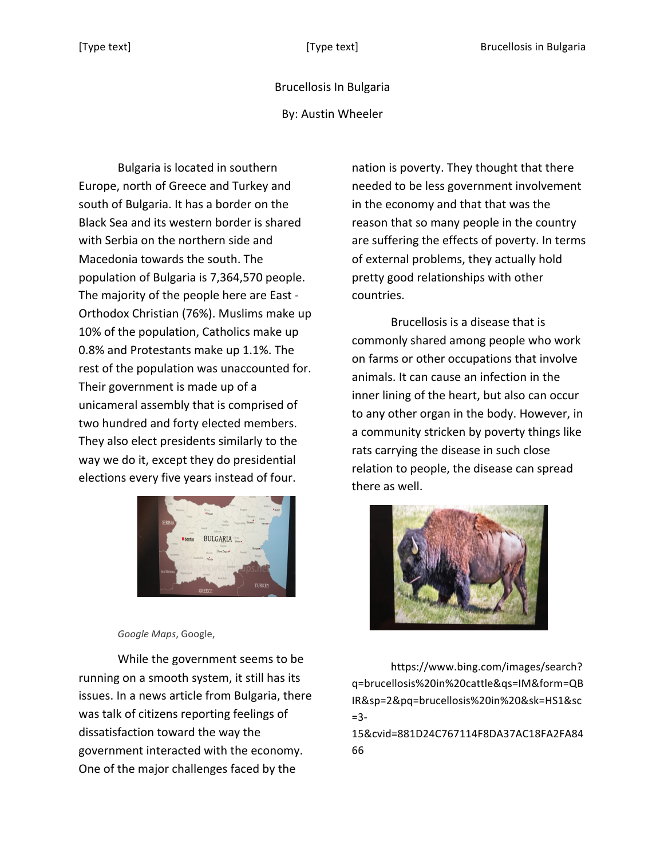## Brucellosis In Bulgaria

By: Austin Wheeler

Bulgaria is located in southern Europe, north of Greece and Turkey and south of Bulgaria. It has a border on the Black Sea and its western border is shared with Serbia on the northern side and Macedonia towards the south. The population of Bulgaria is 7,364,570 people. The majority of the people here are East -Orthodox Christian (76%). Muslims make up 10% of the population, Catholics make up 0.8% and Protestants make up 1.1%. The rest of the population was unaccounted for. Their government is made up of a unicameral assembly that is comprised of two hundred and forty elected members. They also elect presidents similarly to the way we do it, except they do presidential elections every five years instead of four.



*Google Maps*, Google, 

While the government seems to be running on a smooth system, it still has its issues. In a news article from Bulgaria, there was talk of citizens reporting feelings of dissatisfaction toward the way the government interacted with the economy. One of the major challenges faced by the

nation is poverty. They thought that there needed to be less government involvement in the economy and that that was the reason that so many people in the country are suffering the effects of poverty. In terms of external problems, they actually hold pretty good relationships with other countries. 

Brucellosis is a disease that is commonly shared among people who work on farms or other occupations that involve animals. It can cause an infection in the inner lining of the heart, but also can occur to any other organ in the body. However, in a community stricken by poverty things like rats carrying the disease in such close relation to people, the disease can spread there as well.



https://www.bing.com/images/search? q=brucellosis%20in%20cattle&qs=IM&form=QB IR&sp=2&pq=brucellosis%20in%20&sk=HS1&sc =3-

15&cvid=881D24C767114F8DA37AC18FA2FA84 66